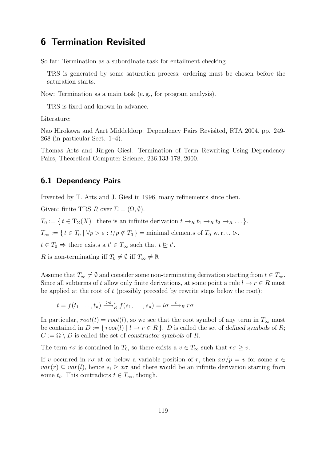## 6 Termination Revisited

So far: Termination as a subordinate task for entailment checking.

TRS is generated by some saturation process; ordering must be chosen before the saturation starts.

Now: Termination as a main task (e. g., for program analysis).

TRS is fixed and known in advance.

Literature:

Nao Hirokawa and Aart Middeldorp: Dependency Pairs Revisited, RTA 2004, pp. 249- 268 (in particular Sect. 1–4).

Thomas Arts and Jürgen Giesl: Termination of Term Rewriting Using Dependency Pairs, Theoretical Computer Science, 236:133-178, 2000.

## 6.1 Dependency Pairs

Invented by T. Arts and J. Giesl in 1996, many refinements since then.

Given: finite TRS R over  $\Sigma = (\Omega, \emptyset)$ .

 $T_0 := \{ t \in T_\Sigma(X) \mid \text{there is an infinite derivation } t \to_R t_1 \to_R t_2 \to_R \ldots \}.$ 

 $T_{\infty} := \{ t \in T_0 \mid \forall p > \varepsilon : t/p \notin T_0 \} = \text{minimal elements of } T_0 \text{ w.r.t. } \rhd.$ 

 $t \in T_0 \Rightarrow$  there exists a  $t' \in T_\infty$  such that  $t \geq t'.$ 

R is non-terminating iff  $T_0 \neq \emptyset$  iff  $T_\infty \neq \emptyset$ .

Assume that  $T_{\infty} \neq \emptyset$  and consider some non-terminating derivation starting from  $t \in T_{\infty}$ . Since all subterms of t allow only finite derivations, at some point a rule  $l \to r \in R$  must be applied at the root of  $t$  (possibly preceded by rewrite steps below the root):

$$
t = f(t_1, \ldots, t_n) \xrightarrow{\geq \varepsilon} f(s_1, \ldots, s_n) = l\sigma \xrightarrow{\varepsilon} R r\sigma.
$$

In particular,  $root(t) = root(l)$ , so we see that the root symbol of any term in  $T_\infty$  must be contained in  $D := \{ root(l) | l \rightarrow r \in R \}$ . D is called the set of defined symbols of R;  $C := \Omega \setminus D$  is called the set of constructor symbols of R.

The term  $r\sigma$  is contained in  $T_0$ , so there exists a  $v \in T_\infty$  such that  $r\sigma \geq v$ .

If v occurred in  $r\sigma$  at or below a variable position of r, then  $x\sigma/p = v$  for some  $x \in$  $var(r) \subseteq var(l)$ , hence  $s_i \geq x\sigma$  and there would be an infinite derivation starting from some  $t_i$ . This contradicts  $t \in T_\infty$ , though.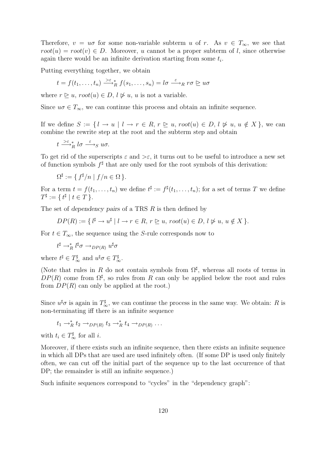Therefore,  $v = u\sigma$  for some non-variable subterm u of r. As  $v \in T_{\infty}$ , we see that  $root(u) = root(v) \in D$ . Moreover, u cannot be a proper subterm of l, since otherwise again there would be an infinite derivation starting from some  $t_i$ .

Putting everything together, we obtain

$$
t = f(t_1, \ldots, t_n) \xrightarrow{\vphantom{X}^{\vphantom{X}\smash{\otimes} t}} R \ f(s_1, \ldots, s_n) = l\sigma \xrightarrow{\varepsilon} R \ r\sigma \trianglerighteq u\sigma
$$

where  $r \triangleright u$ ,  $root(u) \in D$ ,  $l \not\triangleright u$ ,  $u$  is not a variable.

Since  $u\sigma \in T_{\infty}$ , we can continue this process and obtain an infinite sequence.

If we define  $S := \{ l \to u \mid l \to r \in R, r \geq u, root(u) \in D, l \not\triangleright u, u \notin X \}$ , we can combine the rewrite step at the root and the subterm step and obtain

$$
t \xrightarrow{\gt \varepsilon} \nolimits_R^* l \sigma \xrightarrow{\varepsilon} \nolimits_S u \sigma.
$$

To get rid of the superscripts  $\varepsilon$  and  $>\varepsilon$ , it turns out to be useful to introduce a new set of function symbols  $f^{\sharp}$  that are only used for the root symbols of this derivation:

$$
\Omega^{\sharp} := \{ f^{\sharp}/n \mid f/n \in \Omega \}.
$$

For a term  $t = f(t_1, \ldots, t_n)$  we define  $t^{\sharp} := f^{\sharp}(t_1, \ldots, t_n)$ ; for a set of terms T we define  $T^{\sharp} := \{ t^{\sharp} \mid t \in T \}.$ 

The set of dependency pairs of a TRS  $R$  is then defined by

$$
DP(R) := \{ l^{\sharp} \to u^{\sharp} \mid l \to r \in R, r \ge u, root(u) \in D, l \not\triangleright u, u \notin X \}.
$$

For  $t \in T_{\infty}$ , the sequence using the S-rule corresponds now to

$$
t^{\sharp} \rightarrow_R^* l^{\sharp} \sigma \rightarrow_{DP(R)} u^{\sharp} \sigma
$$

where  $t^{\sharp} \in T_{\infty}^{\sharp}$  and  $u^{\sharp}\sigma \in T_{\infty}^{\sharp}$ .

(Note that rules in R do not contain symbols from  $\Omega^{\sharp}$ , whereas all roots of terms in  $DP(R)$  come from  $\Omega^{\sharp}$ , so rules from R can only be applied below the root and rules from  $DP(R)$  can only be applied at the root.)

Since  $u^{\sharp}\sigma$  is again in  $T^{\sharp}_{\infty}$ , we can continue the process in the same way. We obtain: R is non-terminating iff there is an infinite sequence

$$
t_1 \rightarrow_R^* t_2 \rightarrow_{DP(R)} t_3 \rightarrow_R^* t_4 \rightarrow_{DP(R)} \dots
$$

with  $t_i \in T^{\sharp}_{\infty}$  for all *i*.

Moreover, if there exists such an infinite sequence, then there exists an infinite sequence in which all DPs that are used are used infinitely often. (If some DP is used only finitely often, we can cut off the initial part of the sequence up to the last occurrence of that DP; the remainder is still an infinite sequence.)

Such infinite sequences correspond to "cycles" in the "dependency graph":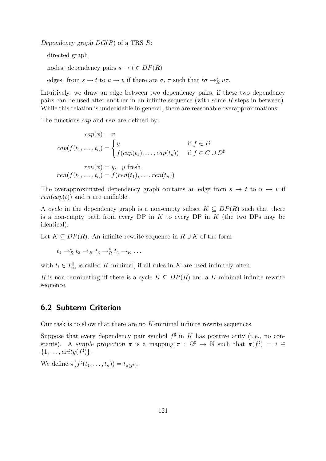Dependency graph  $DG(R)$  of a TRS R:

directed graph

nodes: dependency pairs  $s \to t \in DP(R)$ 

edges: from  $s \to t$  to  $u \to v$  if there are  $\sigma$ ,  $\tau$  such that  $t\sigma \to_R^* u\tau$ .

Intuitively, we draw an edge between two dependency pairs, if these two dependency pairs can be used after another in an infinite sequence (with some R-steps in between). While this relation is undecidable in general, there are reasonable overapproximations:

The functions *cap* and *ren* are defined by:

$$
cap(x) = x
$$
  
\n
$$
cap(f(t_1, ..., t_n)) = \begin{cases} y & \text{if } f \in D \\ f(cap(t_1), ..., cap(t_n)) & \text{if } f \in C \cup D^{\sharp} \end{cases}
$$
  
\n
$$
ren(f(t_1, ..., t_n)) = f(ren(t_1), ..., ren(t_n))
$$

The overapproximated dependency graph contains an edge from  $s \to t$  to  $u \to v$  if  $ren(cap(t))$  and u are unifiable.

A cycle in the dependency graph is a non-empty subset  $K \subseteq DP(R)$  such that there is a non-empty path from every DP in  $K$  to every DP in  $K$  (the two DPs may be identical).

Let  $K \subseteq DP(R)$ . An infinite rewrite sequence in  $R \cup K$  of the form

$$
t_1 \rightarrow_R^* t_2 \rightarrow_K t_3 \rightarrow_R^* t_4 \rightarrow_K \ldots
$$

with  $t_i \in T_{\infty}^{\sharp}$  is called K-minimal, if all rules in K are used infinitely often.

R is non-terminating iff there is a cycle  $K \subseteq DP(R)$  and a K-minimal infinite rewrite sequence.

## 6.2 Subterm Criterion

Our task is to show that there are no K-minimal infinite rewrite sequences.

Suppose that every dependency pair symbol  $f^{\sharp}$  in K has positive arity (i.e., no constants). A simple projection  $\pi$  is a mapping  $\pi : \Omega^{\sharp} \to \mathbb{N}$  such that  $\pi(f^{\sharp}) = i \in$  $\{1,\ldots,arity(f^{\sharp})\}.$ 

We define  $\pi(f^{\sharp}(t_1,\ldots,t_n))=t_{\pi(f^{\sharp})}.$